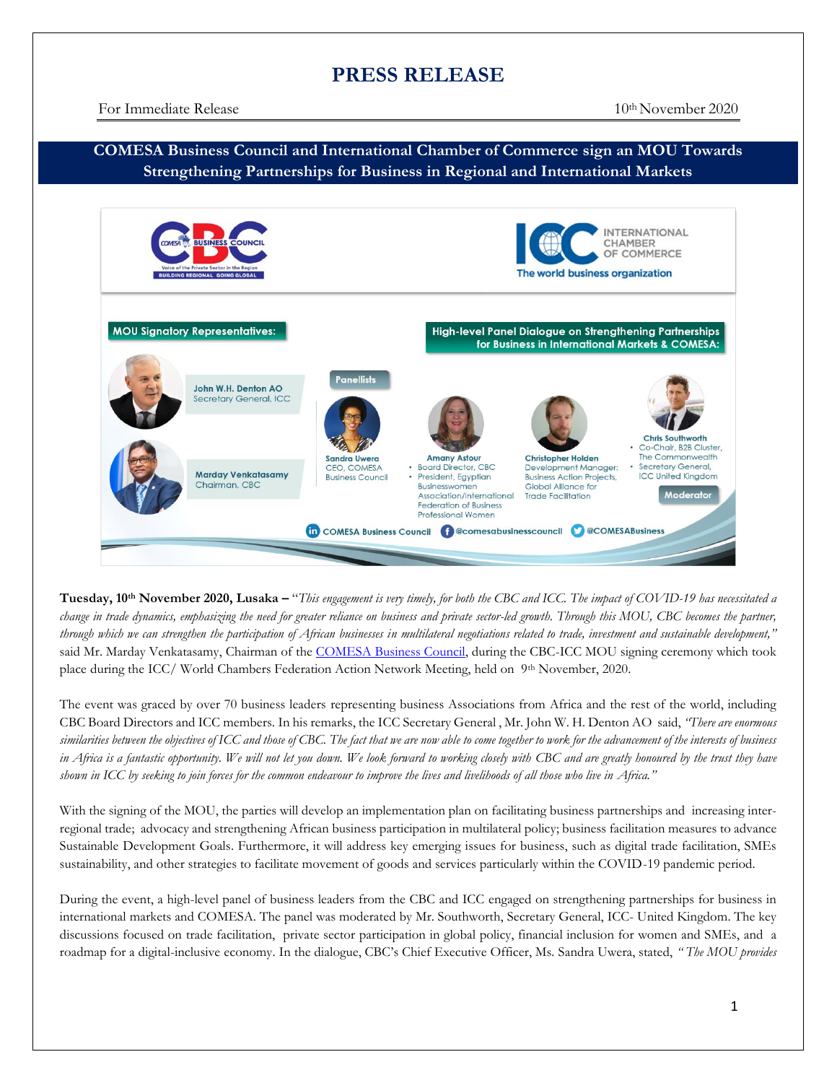## **PRESS RELEASE**

## **COMESA Business Council and International Chamber of Commerce sign an MOU Towards Strengthening Partnerships for Business in Regional and International Markets**



**Tuesday, 10 th November 2020, Lusaka –** "*This engagement is very timely, for both the CBC and ICC. The impact of COVID-19 has necessitated a change in trade dynamics, emphasizing the need for greater reliance on business and private sector-led growth. Through this MOU, CBC becomes the partner, through which we can strengthen the participation of African businesses in multilateral negotiations related to trade, investment and sustainable development,"*  said Mr. Marday Venkatasamy, Chairman of the [COMESA Business Council,](http://comesabusinesscouncil.org/) during the CBC-ICC MOU signing ceremony which took place during the ICC/ World Chambers Federation Action Network Meeting, held on 9<sup>th</sup> November, 2020.

The event was graced by over 70 business leaders representing business Associations from Africa and the rest of the world, including CBC Board Directors and ICC members. In his remarks, the ICC Secretary General , Mr. John W. H. Denton AO said, *"There are enormous similarities between the objectives of ICC and those of CBC. The fact that we are now able to come together to work for the advancement of the interests of business in Africa is a fantastic opportunity. We will not let you down. We look forward to working closely with* CBC and are greatly honoured by the trust they have *shown in ICC by seeking to join forces for the common endeavour to improve the lives and livelihoods of all those who live in Africa."*

With the signing of the MOU, the parties will develop an implementation plan on facilitating business partnerships and increasing interregional trade; advocacy and strengthening African business participation in multilateral policy; business facilitation measures to advance Sustainable Development Goals. Furthermore, it will address key emerging issues for business, such as digital trade facilitation, SMEs sustainability, and other strategies to facilitate movement of goods and services particularly within the COVID-19 pandemic period.

During the event, a high-level panel of business leaders from the CBC and ICC engaged on strengthening partnerships for business in international markets and COMESA. The panel was moderated by Mr. Southworth, Secretary General, ICC- United Kingdom. The key discussions focused on trade facilitation, private sector participation in global policy, financial inclusion for women and SMEs, and a roadmap for a digital-inclusive economy. In the dialogue, CBC's Chief Executive Officer, Ms. Sandra Uwera, stated, *" The MOU provides*